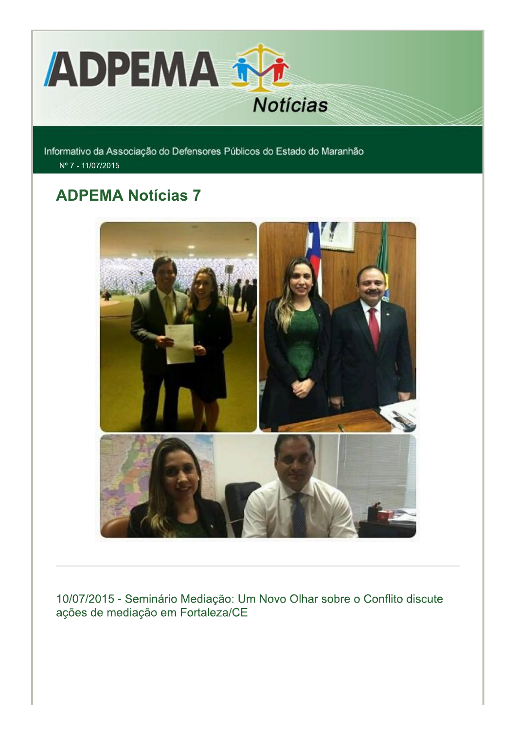

Informativo da Associação do Defensores Públicos do Estado do Maranhão Nº 7 - 11/07/2015

# **ADPEMA Notícias 7**



10/07/2015 - Seminário Mediação: Um Novo Olhar sobre o Conflito discute ações de mediação em Fortaleza/CE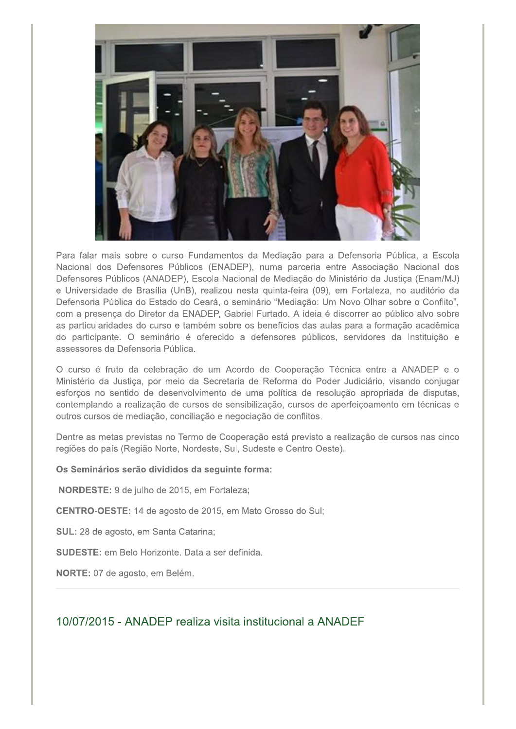

Para falar mais sobre o curso Fundamentos da Mediação para a Defensoria Pública, a Escola Nacional dos Defensores Públicos (ENADEP), numa parceria entre Associação Nacional dos Defensores Públicos (ANADEP), Escola Nacional de Mediação do Ministério da Justiça (Enam/MJ) e Universidade de Brasília (UnB), realizou nesta quinta-feira (09), em Fortaleza, no auditório da Defensoria Pública do Estado do Ceará, o seminário "Mediação: Um Novo Olhar sobre o Conflito", com a presença do Diretor da ENADEP, Gabriel Furtado. A ideia é discorrer ao público alvo sobre as particularidades do curso e também sobre os benefícios das aulas para a formação acadêmica do participante. O seminário é oferecido a defensores públicos, servidores da Instituição e assessores da Defensoria Pública

O curso é fruto da celebração de um Acordo de Cooperação Técnica entre a ANADEP e o Ministério da Justiça, por meio da Secretaria de Reforma do Poder Judiciário, visando conjugar esforços no sentido de desenvolvimento de uma política de resolução apropriada de disputas, contemplando a realização de cursos de sensibilização, cursos de aperfeicoamento em técnicas e outros cursos de mediação, conciliação e negociação de conflitos.

Dentre as metas previstas no Termo de Cooperação está previsto a realização de cursos nas cinco regiões do país (Região Norte, Nordeste, Sul, Sudeste e Centro Oeste).

#### Os Seminários serão divididos da seguinte forma:

NORDESTE: 9 de julho de 2015, em Fortaleza;

CENTRO-OESTE: 14 de agosto de 2015, em Mato Grosso do Sul;

SUL: 28 de agosto, em Santa Catarina;

**SUDESTE:** em Belo Horizonte. Data a ser definida.

NORTE: 07 de agosto, em Belém.

# 10/07/2015 - ANADEP realiza visita institucional a ANADEF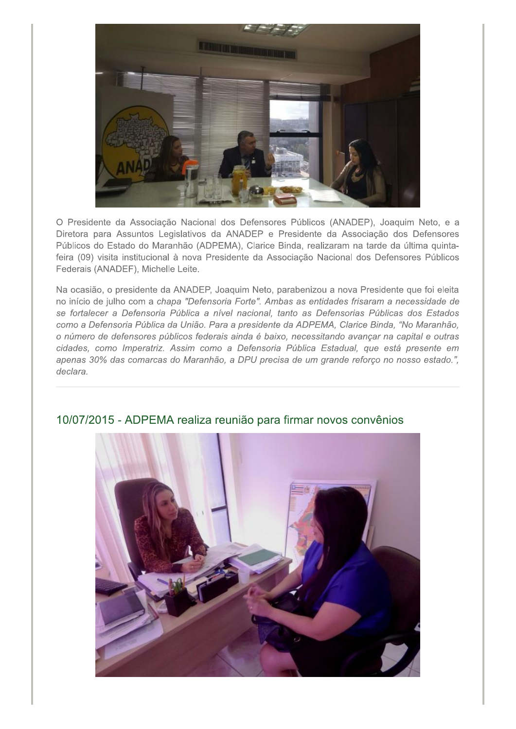

O Presidente da Associação Nacional dos Defensores Públicos (ANADEP), Joaquim Neto, e a Diretora para Assuntos Legislativos da ANADEP e Presidente da Associação dos Defensores Públicos do Estado do Maranhão (ADPEMA), Clarice Binda, realizaram na tarde da última quintafeira (09) visita institucional à nova Presidente da Associação Nacional dos Defensores Públicos Federais (ANADEF), Michelle Leite.

Na ocasião, o presidente da ANADEP, Joaquim Neto, parabenizou a nova Presidente que foi eleita no início de julho com a chapa "Defensoria Forte". Ambas as entidades frisaram a necessidade de se fortalecer a Defensoria Pública a nível nacional, tanto as Defensorias Públicas dos Estados como a Defensoria Pública da União. Para a presidente da ADPEMA, Clarice Binda, "No Maranhão, o número de defensores públicos federais ainda é baixo, necessitando avançar na capital e outras cidades, como Imperatriz. Assim como a Defensoria Pública Estadual, que está presente em apenas 30% das comarcas do Maranhão, a DPU precisa de um grande reforço no nosso estado.", declara.



# 10/07/2015 - ADPEMA realiza reunião para firmar novos convênios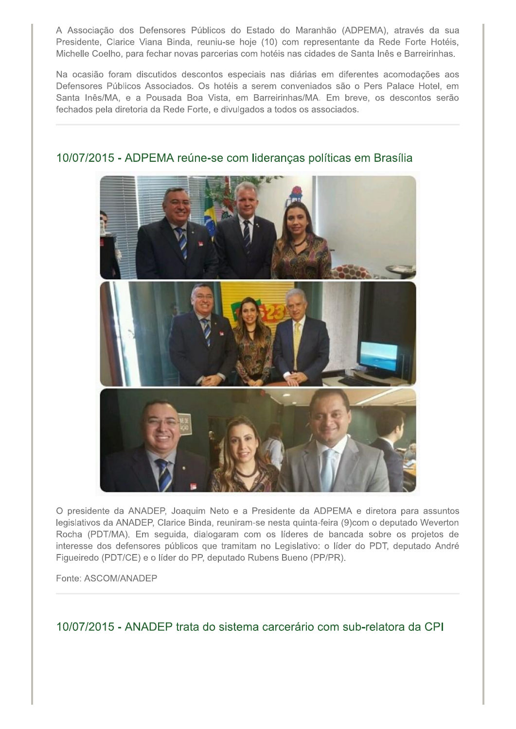A Associação dos Defensores Públicos do Estado do Maranhão (ADPEMA), através da sua Presidente, Clarice Viana Binda, reuniu-se hoje (10) com representante da Rede Forte Hotéis, Michelle Coelho, para fechar novas parcerias com hotéis nas cidades de Santa Inês e Barreirinhas.

Na ocasião foram discutidos descontos especiais nas diárias em diferentes acomodações aos Defensores Públicos Associados. Os hotéis a serem conveniados são o Pers Palace Hotel, em Santa Inês/MA, e a Pousada Boa Vista, em Barreirinhas/MA. Em breve, os descontos serão fechados pela diretoria da Rede Forte, e divulgados a todos os associados.



### 10/07/2015 - ADPEMA reúne-se com lideranças políticas em Brasília

O presidente da ANADEP, Joaquim Neto e a Presidente da ADPEMA e diretora para assuntos legislativos da ANADEP, Clarice Binda, reuniram-se nesta quinta-feira (9)com o deputado Weverton Rocha (PDT/MA). Em seguida, dialogaram com os líderes de bancada sobre os projetos de interesse dos defensores públicos que tramitam no Legislativo: o líder do PDT, deputado André Figueiredo (PDT/CE) e o líder do PP, deputado Rubens Bueno (PP/PR).

Fonte: ASCOM/ANADEP

10/07/2015 - ANADEP trata do sistema carcerário com sub-relatora da CPI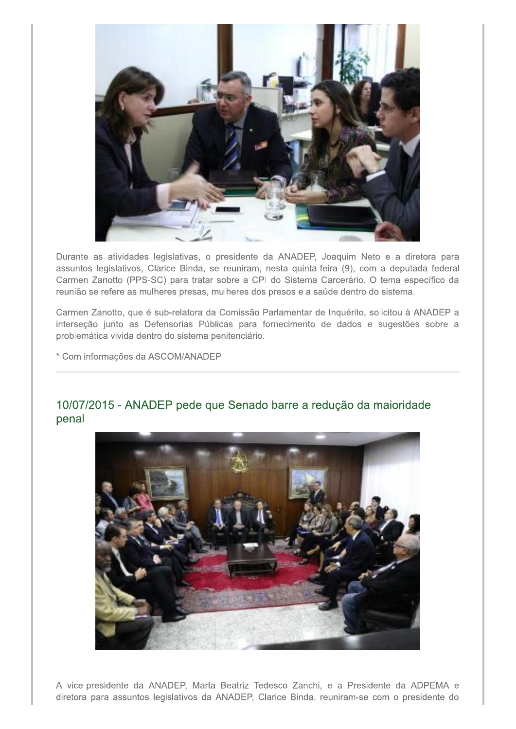

Durante as atividades legislativas, o presidente da ANADEP, Joaquim Neto e a diretora para assuntos legislativos, Clarice Binda, se reuniram, nesta quinta-feira (9), com a deputada federal Carmen Zanotto (PPS-SC) para tratar sobre a CPI do Sistema Carcerário. O tema específico da reunião se refere as mulheres presas, mulheres dos presos e a saúde dentro do sistema.

Carmen Zanotto, que é sub-relatora da Comissão Parlamentar de Inquérito, solicitou à ANADEP a interseção junto as Defensorias Públicas para fornecimento de dados e sugestões sobre a problemática vivida dentro do sistema penitenciário.

\* Com informações da ASCOM/ANADEP

## 10/07/2015 - ANADEP pede que Senado barre a redução da maioridade penal



A vice-presidente da ANADEP, Marta Beatriz Tedesco Zanchi, e a Presidente da ADPEMA e diretora para assuntos legislativos da ANADEP, Clarice Binda, reuniram-se com o presidente do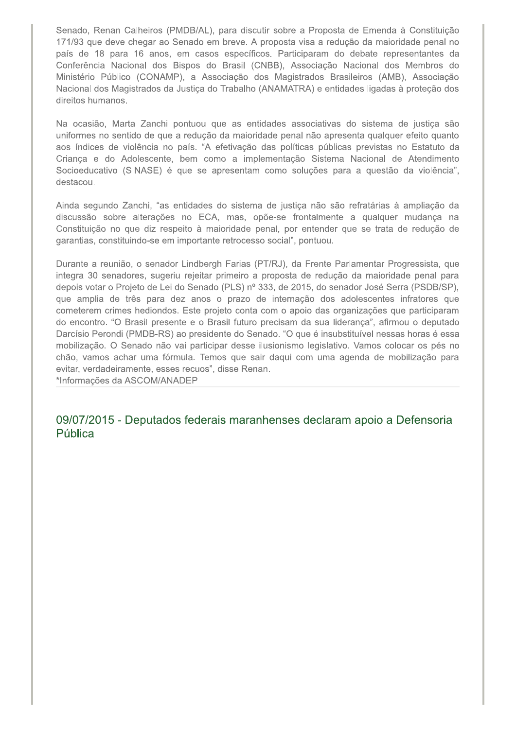Senado, Renan Calheiros (PMDB/AL), para discutir sobre a Proposta de Emenda à Constituição 171/93 que deve chegar ao Senado em breve. A proposta visa a redução da maioridade penal no país de 18 para 16 anos, em casos específicos. Participaram do debate representantes da Conferência Nacional dos Bispos do Brasil (CNBB), Associação Nacional dos Membros do Ministério Público (CONAMP), a Associação dos Magistrados Brasileiros (AMB), Associação Nacional dos Magistrados da Justiça do Trabalho (ANAMATRA) e entidades ligadas à proteção dos direitos humanos.

Na ocasião, Marta Zanchi pontuou que as entidades associativas do sistema de justiça são uniformes no sentido de que a redução da maioridade penal não apresenta qualquer efeito quanto aos índices de violência no país. "A efetivação das políticas públicas previstas no Estatuto da Criança e do Adolescente, bem como a implementação Sistema Nacional de Atendimento Socioeducativo (SINASE) é que se apresentam como soluções para a questão da violência", destacou.

Ainda segundo Zanchi, "as entidades do sistema de justiça não são refratárias à ampliação da discussão sobre alterações no ECA, mas, opõe-se frontalmente a qualquer mudança na Constituição no que diz respeito à maioridade penal, por entender que se trata de redução de garantias, constituindo-se em importante retrocesso social", pontuou.

Durante a reunião, o senador Lindbergh Farias (PT/RJ), da Frente Parlamentar Progressista, que integra 30 senadores, sugeriu rejeitar primeiro a proposta de redução da maioridade penal para depois votar o Projeto de Lei do Senado (PLS) nº 333, de 2015, do senador José Serra (PSDB/SP), que amplia de três para dez anos o prazo de internação dos adolescentes infratores que cometerem crimes hediondos. Este projeto conta com o apoio das organizações que participaram do encontro. "O Brasil presente e o Brasil futuro precisam da sua liderança", afirmou o deputado Darcísio Perondi (PMDB-RS) ao presidente do Senado. "O que é insubstituível nessas horas é essa mobilização. O Senado não vai participar desse ilusionismo legislativo. Vamos colocar os pés no chão, vamos achar uma fórmula. Temos que sair daqui com uma agenda de mobilização para evitar, verdadeiramente, esses recuos", disse Renan.

\*Informações da ASCOM/ANADEP

09/07/2015 - Deputados federais maranhenses declaram apoio a Defensoria Pública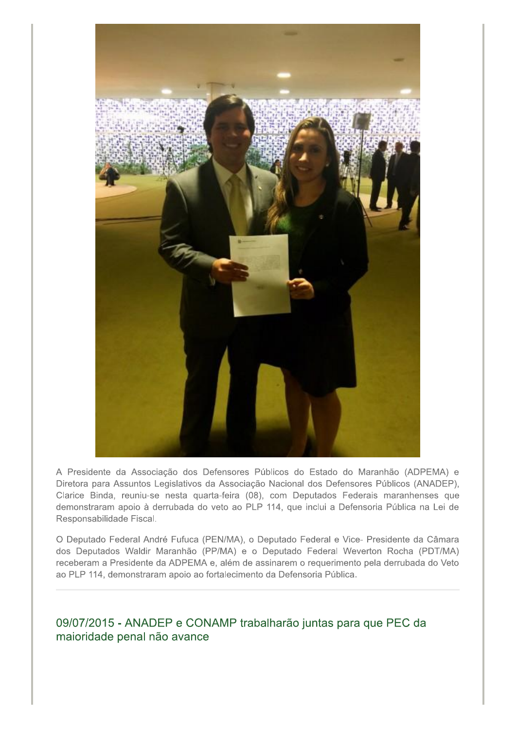

A Presidente da Associação dos Defensores Públicos do Estado do Maranhão (ADPEMA) e Diretora para Assuntos Legislativos da Associação Nacional dos Defensores Públicos (ANADEP), Clarice Binda, reuniu-se nesta quarta-feira (08), com Deputados Federais maranhenses que demonstraram apoio à derrubada do veto ao PLP 114, que inclui a Defensoria Pública na Lei de Responsabilidade Fiscal.

O Deputado Federal André Fufuca (PEN/MA), o Deputado Federal e Vice- Presidente da Câmara dos Deputados Waldir Maranhão (PP/MA) e o Deputado Federal Weverton Rocha (PDT/MA) receberam a Presidente da ADPEMA e, além de assinarem o requerimento pela derrubada do Veto ao PLP 114, demonstraram apoio ao fortalecimento da Defensoria Pública.

09/07/2015 - ANADEP e CONAMP trabalharão juntas para que PEC da maioridade penal não avance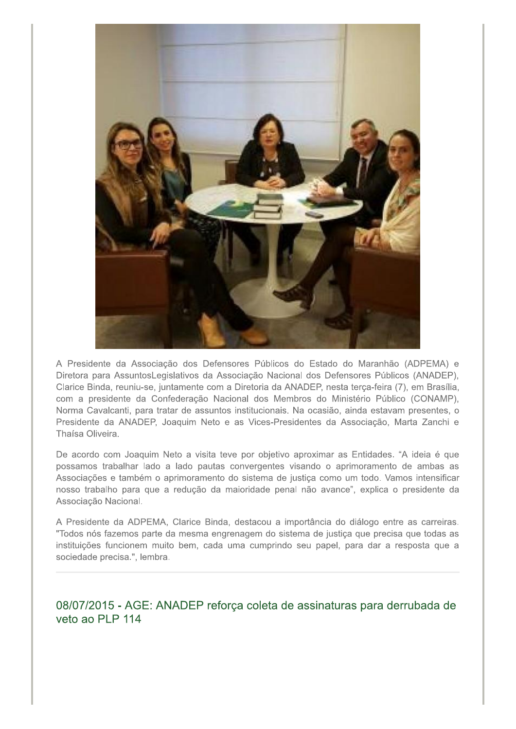

A Presidente da Associação dos Defensores Públicos do Estado do Maranhão (ADPEMA) e Diretora para AssuntosLegislativos da Associação Nacional dos Defensores Públicos (ANADEP), Clarice Binda, reuniu-se, juntamente com a Diretoria da ANADEP, nesta terça-feira (7), em Brasília, com a presidente da Confederação Nacional dos Membros do Ministério Público (CONAMP), Norma Cavalcanti, para tratar de assuntos institucionais. Na ocasião, ainda estavam presentes, o Presidente da ANADEP, Joaquim Neto e as Vices-Presidentes da Associação, Marta Zanchi e Thaísa Oliveira.

De acordo com Joaquim Neto a visita teve por objetivo aproximar as Entidades. "A ideia é que possamos trabalhar lado a lado pautas convergentes visando o aprimoramento de ambas as Associações e também o aprimoramento do sistema de justiça como um todo. Vamos intensificar nosso trabalho para que a redução da maioridade penal não avance", explica o presidente da Associação Nacional.

A Presidente da ADPEMA, Clarice Binda, destacou a importância do diálogo entre as carreiras. "Todos nós fazemos parte da mesma engrenagem do sistema de justiça que precisa que todas as instituições funcionem muito bem, cada uma cumprindo seu papel, para dar a resposta que a sociedade precisa.", lembra.

08/07/2015 - AGE: ANADEP reforça coleta de assinaturas para derrubada de veto ao PLP 114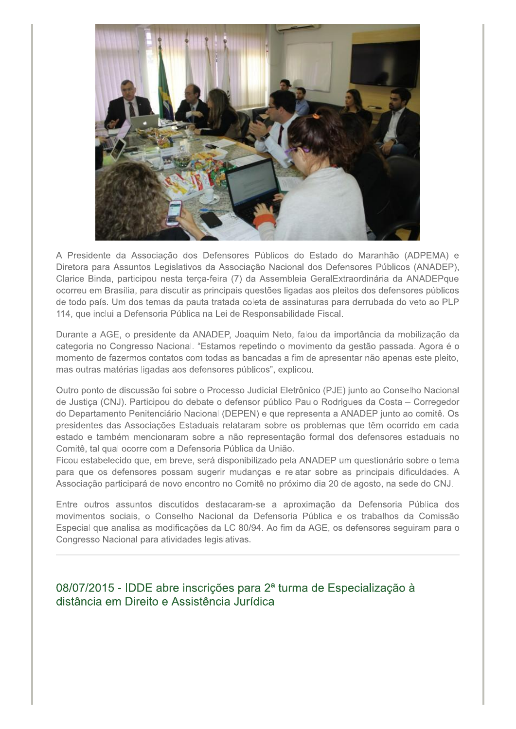

A Presidente da Associação dos Defensores Públicos do Estado do Maranhão (ADPEMA) e Diretora para Assuntos Legislativos da Associação Nacional dos Defensores Públicos (ANADEP), Clarice Binda, participou nesta terça-feira (7) da Assembleia GeralExtraordinária da ANADEPque ocorreu em Brasília, para discutir as principais questões ligadas aos pleitos dos defensores públicos de todo país. Um dos temas da pauta tratada coleta de assinaturas para derrubada do veto ao PLP 114, que inclui a Defensoria Pública na Lei de Responsabilidade Fiscal.

Durante a AGE, o presidente da ANADEP, Joaquim Neto, falou da importância da mobilização da categoria no Congresso Nacional. "Estamos repetindo o movimento da gestão passada. Agora é o momento de fazermos contatos com todas as bancadas a fim de apresentar não apenas este pleito, mas outras matérias ligadas aos defensores públicos", explicou.

Outro ponto de discussão foi sobre o Processo Judicial Eletrônico (PJE) junto ao Conselho Nacional de Justiça (CNJ). Participou do debate o defensor público Paulo Rodrigues da Costa - Corregedor do Departamento Penitenciário Nacional (DEPEN) e que representa a ANADEP junto ao comitê. Os presidentes das Associações Estaduais relataram sobre os problemas que têm ocorrido em cada estado e também mencionaram sobre a não representação formal dos defensores estaduais no Comitê, tal qual ocorre com a Defensoria Pública da União.

Ficou estabelecido que, em breve, será disponibilizado pela ANADEP um questionário sobre o tema para que os defensores possam sugerir mudanças e relatar sobre as principais dificuldades. A Associação participará de novo encontro no Comitê no próximo dia 20 de agosto, na sede do CNJ.

Entre outros assuntos discutidos destacaram-se a aproximação da Defensoria Pública dos movimentos sociais, o Conselho Nacional da Defensoria Pública e os trabalhos da Comissão Especial que analisa as modificações da LC 80/94. Ao fim da AGE, os defensores seguiram para o Congresso Nacional para atividades legislativas.

# 08/07/2015 - IDDE abre inscrições para 2ª turma de Especialização à distância em Direito e Assistência Jurídica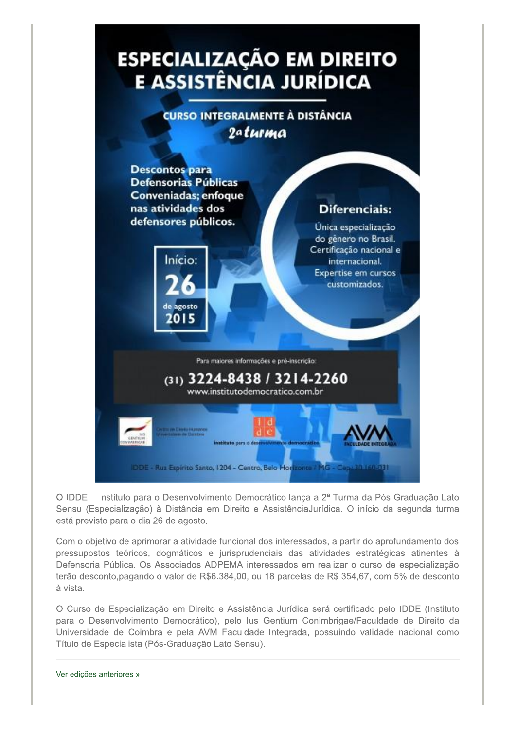

O IDDE - Instituto para o Desenvolvimento Democrático lança a 2ª Turma da Pós-Graduação Lato Sensu (Especialização) à Distância em Direito e AssistênciaJurídica. O início da segunda turma está previsto para o dia 26 de agosto.

Com o objetivo de aprimorar a atividade funcional dos interessados, a partir do aprofundamento dos pressupostos teóricos, dogmáticos e jurisprudenciais das atividades estratégicas atinentes à Defensoria Pública. Os Associados ADPEMA interessados em realizar o curso de especialização terão desconto, pagando o valor de R\$6.384,00, ou 18 parcelas de R\$ 354,67, com 5% de desconto à vista.

O Curso de Especialização em Direito e Assistência Jurídica será certificado pelo IDDE (Instituto para o Desenvolvimento Democrático), pelo lus Gentium Conimbrigae/Faculdade de Direito da Universidade de Coimbra e pela AVM Faculdade Integrada, possuindo validade nacional como Título de Especialista (Pós-Graduação Lato Sensu).